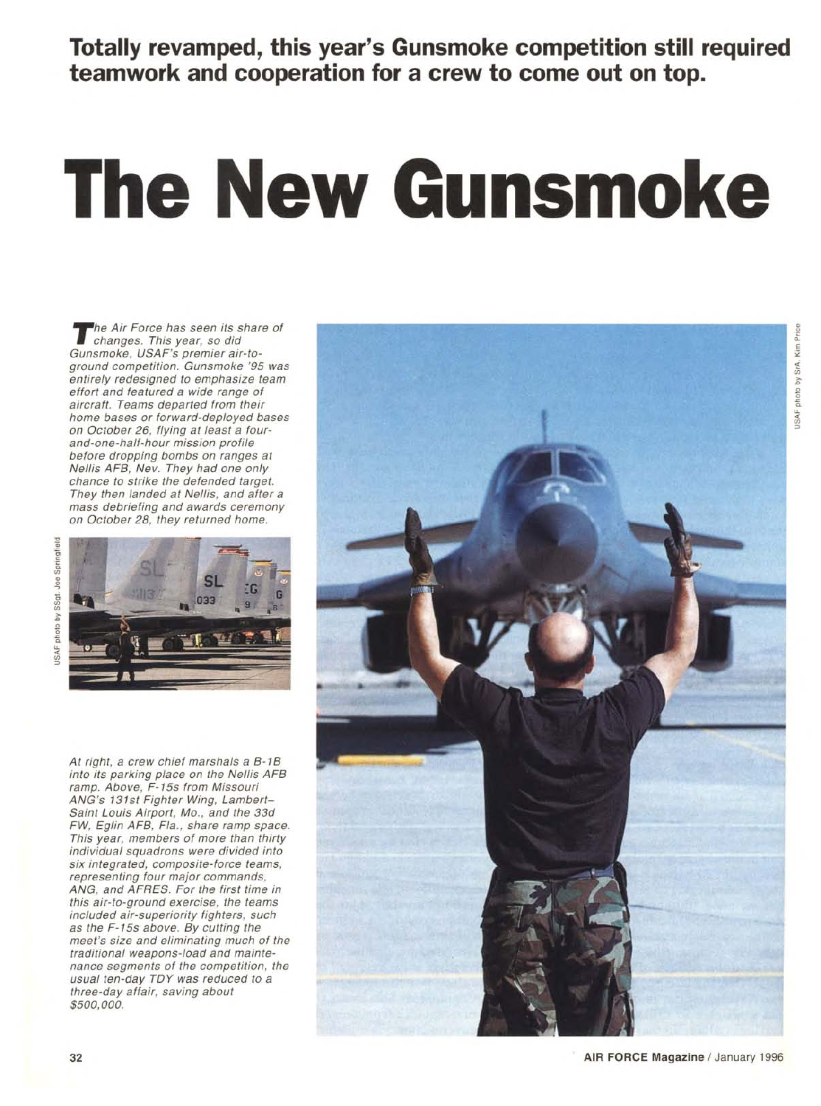**Totally revamped, this year's Gunsmoke competition still required teamwork and cooperation for a crew to come out on top.** 

# **The New Gunsmoke**

Gun grou entir effor aircr<br>
aircr hom C and befo char They mass of C and They mass of C and They mass of C and They mass of C and They may be all the set of the set of the set of the set of the set of the set of the set of he Air Force has seen its share of changes. This year, so did Gunsmoke, USAF's premier air-toground competition. Gunsmoke '95 was entirely redesigned to emphasize team effort and featured a wide range of aircraft. Teams departed from their home bases or forward-deployed bases on October 26, flying at least a fourand-one-half-hour mission profile before dropping bombs on ranges at Nellis AFB, Nev. They had one only chance to strike the defended target. They then landed at Nellis, and after a mass debriefing and awards ceremony on October 28, they returned home.



At right, a crew chief marshals a B-1B into its parking place on the Nellis AFB ramp. Above, F-15s from Missouri ANG's 131st Fighter Wing, Lambert— Saint Louis Airport, Mo., and the 33d FW, Eglin AFB, Fla., share ramp space. This year, members of more than thirty individual squadrons were divided into six integrated, composite-force teams, representing four major commands, ANG, and AFRES. For the first time in this air-to-ground exercise, the teams included air-superiority fighters, such as the F-15s above. By cutting the meet's size and eliminating much of the traditional weapons-load and maintenance segments of the competition, the usual ten-day TOY was reduced to a three-day affair, saving about \$500,000.



ohoto ISAF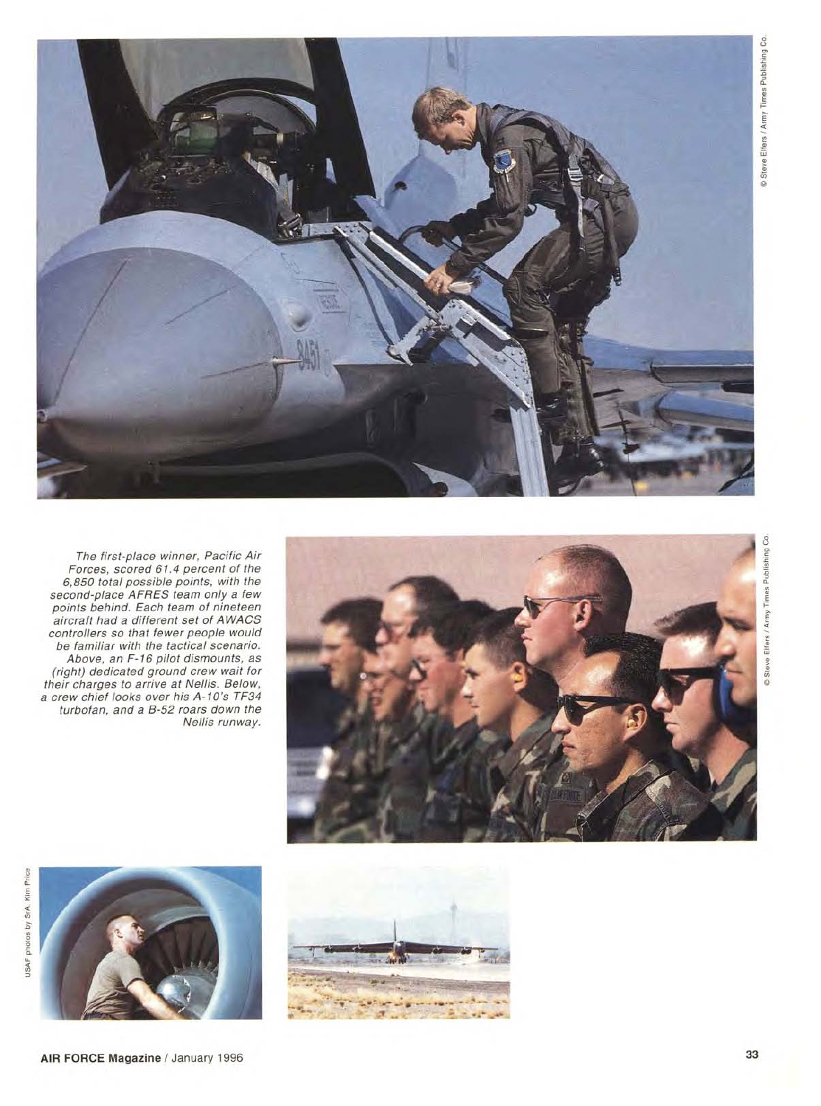

-711311111112111111.1.11M011 ,1 - \_

The first-place winner, Pacific Air Forces, scored 61.4 percent of the 6,850 total possible points, with the second-place AFRES team only a few points behind. Each team of nineteen aircraft had a different set of AWACS controllers so that fewer people would be familiar with the tactical scenario. Above, an F-16 pilot dismounts, as (right) dedicated ground crew wait for their charges to arrive at Nellis. Below, a crew chief looks over his A-10's TF34 turbofan, and a B-52 roars down the Nellis runway.



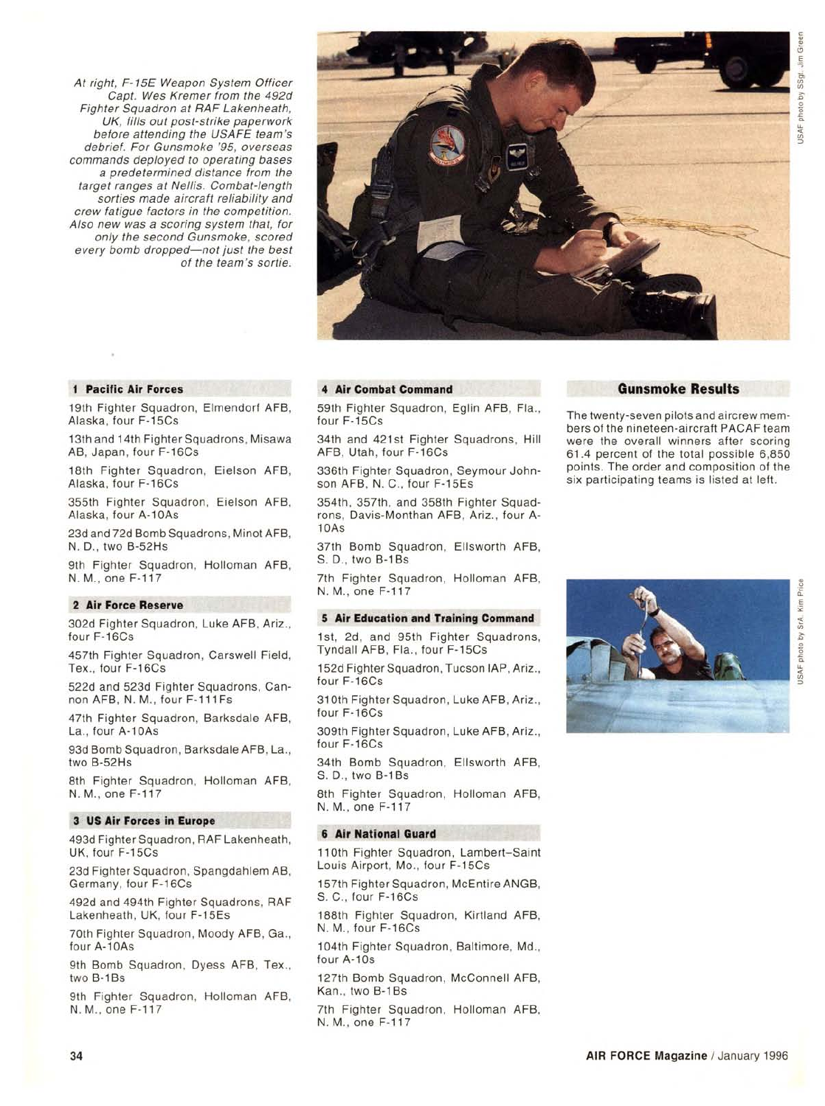At right, F-15E Weapon System Officer Capt. Wes Kremer from the 492d Fighter Squadron at RAF Lakenheath, UK, fills out post-strike paperwork before attending the USAFE team's debrief. For Gunsmoke '95, overseas commands deployed to operating bases a predetermined distance from the target ranges at Nellis. Combat-length sorties made aircraft reliability and crew fatigue factors in the competition. Also new was a scoring system that, for only the second Gunsmoke, scored every bomb dropped—not just the best of the team's sortie.



#### **1 Pacific Air Forces**

19th Fighter Squadron, Elmendorf AFB, Alaska, four F-15Cs

13th and 14th Fighter Squadrons, Misawa AB, Japan, four F-16Cs

18th Fighter Squadron, Eielson AFB, Alaska, four F-16Cs

355th Fighter Squadron, Eielson AFB, Alaska, four A-10As

23d and 72d Bomb Squadrons, Minot AFB, N. D., two B-52Hs

9th Fighter Squadron, Holloman AFB, N. M., one F-117

# **2 Air Force Reserve**

302d Fighter Squadron, Luke AFB, Ariz., four F-16Cs

457th Fighter Squadron, Carswell Field, Tex., four F-16Cs

522d and 523d Fighter Squadrons, Cannon AFB, N. M., four F-111Fs

47th Fighter Squadron, Barksdale AFB, La., four A-10As

93d Bomb Squadron, Barksdale AFB, La., two B-52Hs

8th Fighter Squadron, Holloman AFB, N. M., one F-117

### **3 US Air Forces in Europe**

493d Fighter Squadron, RAF Lakenheath, UK, four F-15Cs

23d Fighter Squadron, Spangdahlem AB, Germany, four F-16Cs

492d and 494th Fighter Squadrons, RAF Lakenheath, UK, four F-15Es

70th Fighter Squadron, Moody AFB, Ga., four A-10As

9th Bomb Squadron, Dyess AFB, Tex., two B-1Bs

9th Fighter Squadron, Holloman AFB, N. M., one F-117

#### **4 Air Combat Command**

59th Fighter Squadron, Eglin AFB, Fla., four F-15Cs

34th and 421st Fighter Squadrons, Hill AFB, Utah, four F-16Cs

336th Fighter Squadron, Seymour Johnson AFB, N. C., four F-15Es

354th, 357th, and 358th Fighter Squadrons, Davis-Monthan AFB, Ariz., four A-10As

37th Bomb Squadron, Ellsworth AFB, S. D., two B-1Bs

7th Fighter Squadron, Holloman AFB, N. M., one F-117

#### **5 Air Education and Training Command**

1st, 2d, and 95th Fighter Squadrons, Tyndall AFB, Fla., four F-15Cs

152d Fighter Squadron, Tucson IAP, Ariz., four F-16Cs

310th Fighter Squadron, Luke AFB, Ariz., four F-16Cs

309th Fighter Squadron, Luke AFB, Ariz., four F-16Cs

34th Bomb Squadron, Ellsworth AFB, S. D., two B-1Bs

8th Fighter Squadron, Holloman AFB, N. M., one F-117

# **6 Air National Guard**

110th Fighter Squadron, Lambert–Saint Louis Airport, Mo., four F-15Cs

157th Fighter Squadron, McEntire ANGB, S. C., four F-16Cs

188th Fighter Squadron, Kirtland AFB, N. M., four F-16Cs

104th Fighter Squadron, Baltimore, Md., four A-10s

127th Bomb Squadron, McConnell AFB, Kan., two B-1Bs

7th Fighter Squadron, Holloman AFB, N. M., one F-117

# **Gunsmoke Results**

The twenty-seven pilots and aircrew members of the nineteen-aircraft PACAF team were the overall winners after scoring 61.4 percent of the total possible 6,850 points. The order and composition of the six participating teams is listed at left.